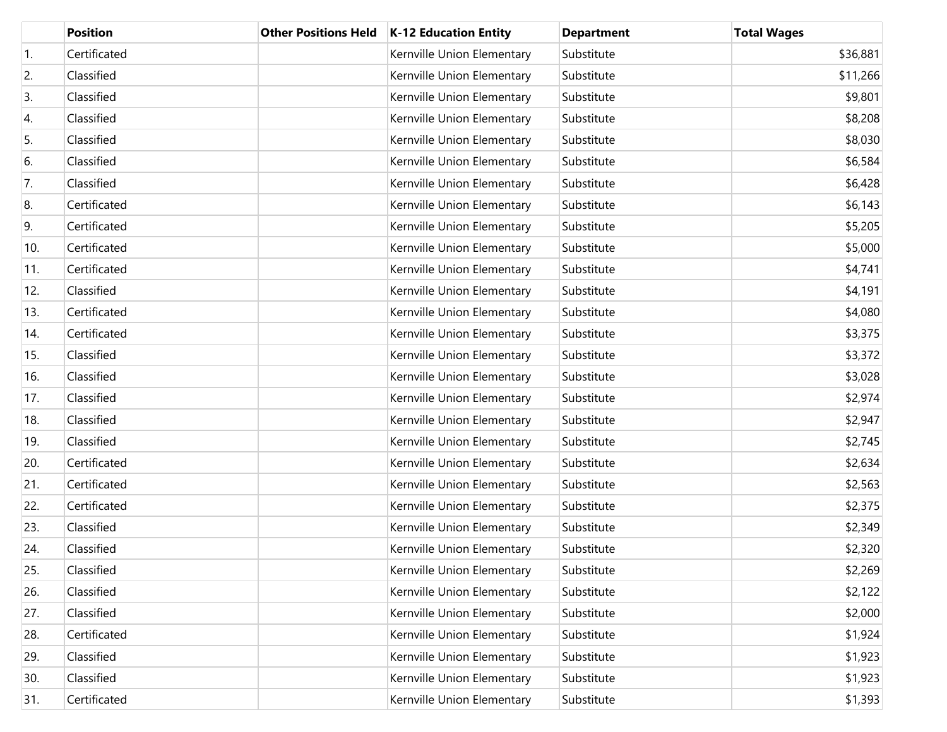|     | <b>Position</b> | <b>Other Positions Held</b> | <b>K-12 Education Entity</b> | <b>Department</b> | <b>Total Wages</b> |
|-----|-----------------|-----------------------------|------------------------------|-------------------|--------------------|
| 1.  | Certificated    |                             | Kernville Union Elementary   | Substitute        | \$36,881           |
| 2.  | Classified      |                             | Kernville Union Elementary   | Substitute        | \$11,266           |
| 3.  | Classified      |                             | Kernville Union Elementary   | Substitute        | \$9,801            |
| 4.  | Classified      |                             | Kernville Union Elementary   | Substitute        | \$8,208            |
| 5.  | Classified      |                             | Kernville Union Elementary   | Substitute        | \$8,030            |
| 6.  | Classified      |                             | Kernville Union Elementary   | Substitute        | \$6,584            |
| 7.  | Classified      |                             | Kernville Union Elementary   | Substitute        | \$6,428            |
| 8.  | Certificated    |                             | Kernville Union Elementary   | Substitute        | \$6,143            |
| 9.  | Certificated    |                             | Kernville Union Elementary   | Substitute        | \$5,205            |
| 10. | Certificated    |                             | Kernville Union Elementary   | Substitute        | \$5,000            |
| 11. | Certificated    |                             | Kernville Union Elementary   | Substitute        | \$4,741            |
| 12. | Classified      |                             | Kernville Union Elementary   | Substitute        | \$4,191            |
| 13. | Certificated    |                             | Kernville Union Elementary   | Substitute        | \$4,080            |
| 14. | Certificated    |                             | Kernville Union Elementary   | Substitute        | \$3,375            |
| 15. | Classified      |                             | Kernville Union Elementary   | Substitute        | \$3,372            |
| 16. | Classified      |                             | Kernville Union Elementary   | Substitute        | \$3,028            |
| 17. | Classified      |                             | Kernville Union Elementary   | Substitute        | \$2,974            |
| 18. | Classified      |                             | Kernville Union Elementary   | Substitute        | \$2,947            |
| 19. | Classified      |                             | Kernville Union Elementary   | Substitute        | \$2,745            |
| 20. | Certificated    |                             | Kernville Union Elementary   | Substitute        | \$2,634            |
| 21. | Certificated    |                             | Kernville Union Elementary   | Substitute        | \$2,563            |
| 22. | Certificated    |                             | Kernville Union Elementary   | Substitute        | \$2,375            |
| 23. | Classified      |                             | Kernville Union Elementary   | Substitute        | \$2,349            |
| 24. | Classified      |                             | Kernville Union Elementary   | Substitute        | \$2,320            |
| 25. | Classified      |                             | Kernville Union Elementary   | Substitute        | \$2,269            |
| 26. | Classified      |                             | Kernville Union Elementary   | Substitute        | \$2,122            |
| 27. | Classified      |                             | Kernville Union Elementary   | Substitute        | \$2,000            |
| 28. | Certificated    |                             | Kernville Union Elementary   | Substitute        | \$1,924            |
| 29. | Classified      |                             | Kernville Union Elementary   | Substitute        | \$1,923            |
| 30. | Classified      |                             | Kernville Union Elementary   | Substitute        | \$1,923            |
| 31. | Certificated    |                             | Kernville Union Elementary   | Substitute        | \$1,393            |